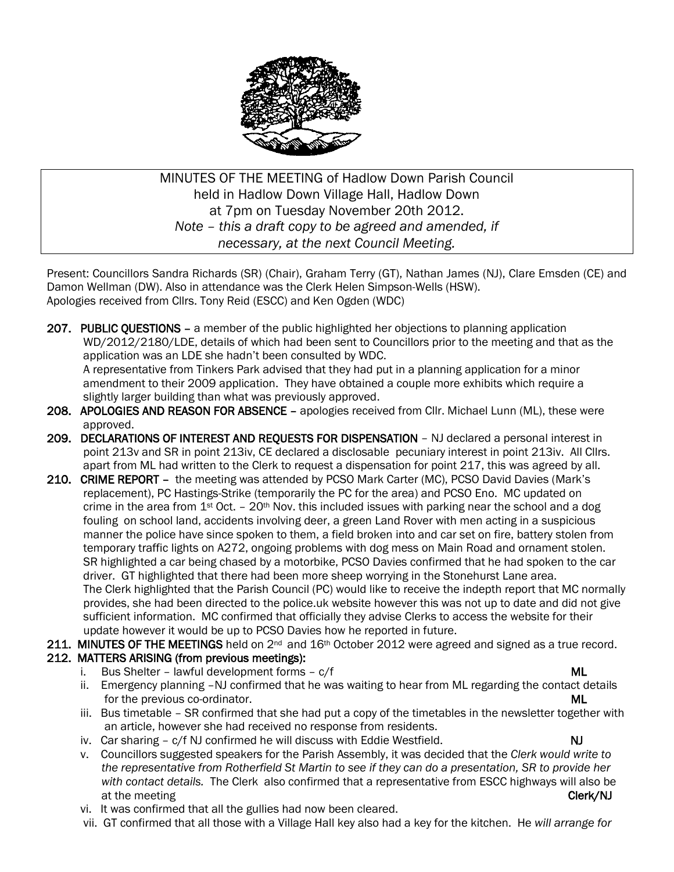

MINUTES OF THE MEETING of Hadlow Down Parish Council held in Hadlow Down Village Hall, Hadlow Down at 7pm on Tuesday November 20th 2012. *Note – this a draft copy to be agreed and amended, if necessary, at the next Council Meeting.*

Present: Councillors Sandra Richards (SR) (Chair), Graham Terry (GT), Nathan James (NJ), Clare Emsden (CE) and Damon Wellman (DW). Also in attendance was the Clerk Helen Simpson-Wells (HSW). Apologies received from Cllrs. Tony Reid (ESCC) and Ken Ogden (WDC)

- 207. PUBLIC OUESTIONS a member of the public highlighted her objections to planning application WD/2012/2180/LDE, details of which had been sent to Councillors prior to the meeting and that as the application was an LDE she hadn't been consulted by WDC. A representative from Tinkers Park advised that they had put in a planning application for a minor amendment to their 2009 application. They have obtained a couple more exhibits which require a slightly larger building than what was previously approved.
- 208. APOLOGIES AND REASON FOR ABSENCE apologies received from Cllr. Michael Lunn (ML), these were approved.
- 209. DECLARATIONS OF INTEREST AND REQUESTS FOR DISPENSATION NJ declared a personal interest in point 213v and SR in point 213iv, CE declared a disclosable pecuniary interest in point 213iv. All Cllrs. apart from ML had written to the Clerk to request a dispensation for point 217, this was agreed by all.
- 210. CRIME REPORT the meeting was attended by PCSO Mark Carter (MC), PCSO David Davies (Mark's replacement), PC Hastings-Strike (temporarily the PC for the area) and PCSO Eno. MC updated on crime in the area from  $1<sup>st</sup>$  Oct. – 20<sup>th</sup> Nov. this included issues with parking near the school and a dog fouling on school land, accidents involving deer, a green Land Rover with men acting in a suspicious manner the police have since spoken to them, a field broken into and car set on fire, battery stolen from temporary traffic lights on A272, ongoing problems with dog mess on Main Road and ornament stolen. SR highlighted a car being chased by a motorbike, PCSO Davies confirmed that he had spoken to the car driver. GT highlighted that there had been more sheep worrying in the Stonehurst Lane area. The Clerk highlighted that the Parish Council (PC) would like to receive the indepth report that MC normally provides, she had been directed to the police.uk website however this was not up to date and did not give sufficient information. MC confirmed that officially they advise Clerks to access the website for their update however it would be up to PCSO Davies how he reported in future.

211. MINUTES OF THE MEETINGS held on  $2^{nd}$  and  $16th$  October 2012 were agreed and signed as a true record.

#### 212. MATTERS ARISING (from previous meetings):

- i. Bus Shelter lawful development forms  $c/f$  and the matter of the matter of the ML
- ii. Emergency planning -NJ confirmed that he was waiting to hear from ML regarding the contact details for the previous co-ordinator. ML
- iii. Bus timetable SR confirmed that she had put a copy of the timetables in the newsletter together with an article, however she had received no response from residents.
- iv. Car sharing  $c/f NJ$  confirmed he will discuss with Eddie Westfield.  $NJ$
- v. Councillors suggested speakers for the Parish Assembly, it was decided that the *Clerk would write to the representative from Rotherfield St Martin to see if they can do a presentation, SR to provide her with contact details.* The Clerk also confirmed that a representative from ESCC highways will also be at the meeting **Clerk/NJ** and the meeting contact the meeting contact the meeting contact the meeting contact the meeting contact the meeting contact the meeting contact the meeting contact the meeting contact the meeting
- vi. It was confirmed that all the gullies had now been cleared.
- vii. GT confirmed that all those with a Village Hall key also had a key for the kitchen. He *will arrange for*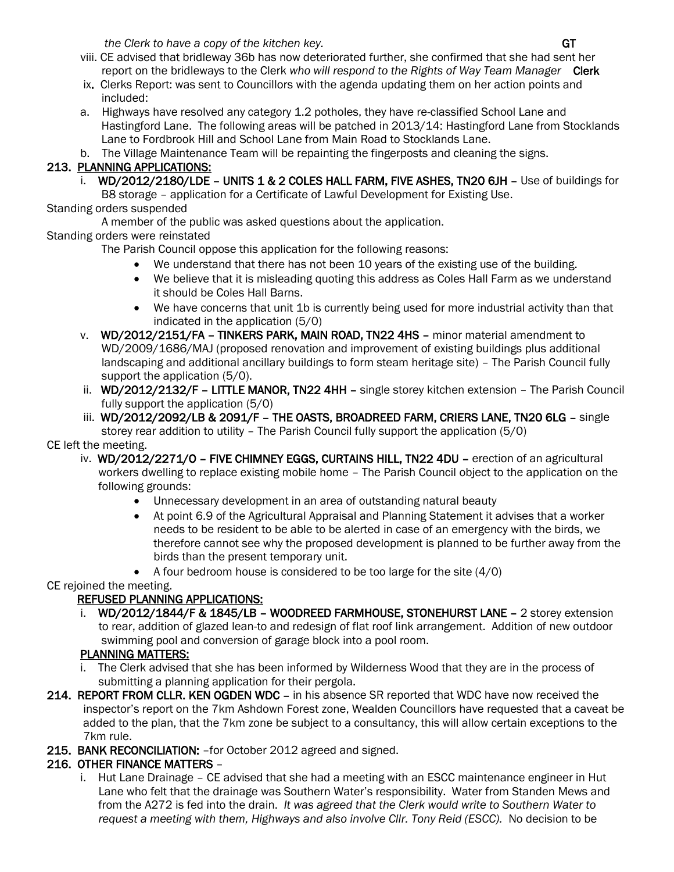*the Clerk to have a copy of the kitchen key.*  $\mathbf{G}$  and  $\mathbf{G}$  and  $\mathbf{G}$  and  $\mathbf{G}$  and  $\mathbf{G}$  and  $\mathbf{G}$  and  $\mathbf{G}$  and  $\mathbf{G}$  and  $\mathbf{G}$  and  $\mathbf{G}$  and  $\mathbf{G}$  and  $\mathbf{G}$  and  $\mathbf{G}$  and  $\mathbf{G$ 

- viii. CE advised that bridleway 36b has now deteriorated further, she confirmed that she had sent her report on the bridleways to the Clerk *who will respond to the Rights of Way Team Manager* **Clerk**
- ix. Clerks Report: was sent to Councillors with the agenda updating them on her action points and included:
- a. Highways have resolved any category 1.2 potholes, they have re-classified School Lane and Hastingford Lane. The following areas will be patched in 2013/14: Hastingford Lane from Stocklands Lane to Fordbrook Hill and School Lane from Main Road to Stocklands Lane.
- b. The Village Maintenance Team will be repainting the fingerposts and cleaning the signs.

#### 213. PLANNING APPLICATIONS:

- i. WD/2012/2180/LDE UNITS 1 & 2 COLES HALL FARM, FIVE ASHES, TN20 6JH Use of buildings for B8 storage – application for a Certificate of Lawful Development for Existing Use.
- Standing orders suspended
- A member of the public was asked questions about the application.

#### Standing orders were reinstated

- The Parish Council oppose this application for the following reasons:
	- We understand that there has not been 10 years of the existing use of the building.
	- We believe that it is misleading quoting this address as Coles Hall Farm as we understand it should be Coles Hall Barns.
	- We have concerns that unit 1b is currently being used for more industrial activity than that indicated in the application (5/0)
- v. WD/2012/2151/FA TINKERS PARK, MAIN ROAD, TN22 4HS minor material amendment to WD/2009/1686/MAJ (proposed renovation and improvement of existing buildings plus additional landscaping and additional ancillary buildings to form steam heritage site) – The Parish Council fully support the application (5/0).
- ii. WD/2012/2132/F LITTLE MANOR, TN22 4HH single storey kitchen extension The Parish Council fully support the application (5/0)
- iii. WD/2012/2092/LB & 2091/F THE OASTS, BROADREED FARM, CRIERS LANE, TN20 6LG single storey rear addition to utility – The Parish Council fully support the application (5/0)

#### CE left the meeting.

- iv. WD/2012/2271/O FIVE CHIMNEY EGGS, CURTAINS HILL, TN22 4DU erection of an agricultural workers dwelling to replace existing mobile home – The Parish Council object to the application on the following grounds:
	- Unnecessary development in an area of outstanding natural beauty
	- At point 6.9 of the Agricultural Appraisal and Planning Statement it advises that a worker needs to be resident to be able to be alerted in case of an emergency with the birds, we therefore cannot see why the proposed development is planned to be further away from the birds than the present temporary unit.
	- $\bullet$  A four bedroom house is considered to be too large for the site (4/0)

#### CE rejoined the meeting.

### REFUSED PLANNING APPLICATIONS:

 i. WD/2012/1844/F & 1845/LB – WOODREED FARMHOUSE, STONEHURST LANE – 2 storey extension to rear, addition of glazed lean-to and redesign of flat roof link arrangement. Addition of new outdoor swimming pool and conversion of garage block into a pool room.

### PLANNING MATTERS:

- i. The Clerk advised that she has been informed by Wilderness Wood that they are in the process of submitting a planning application for their pergola.
- 214. REPORT FROM CLLR. KEN OGDEN WDC in his absence SR reported that WDC have now received the inspector's report on the 7km Ashdown Forest zone, Wealden Councillors have requested that a caveat be added to the plan, that the 7km zone be subject to a consultancy, this will allow certain exceptions to the 7km rule.
- 215. BANK RECONCILIATION: –for October 2012 agreed and signed.

### 216. OTHER FINANCE MATTERS –

 i. Hut Lane Drainage – CE advised that she had a meeting with an ESCC maintenance engineer in Hut Lane who felt that the drainage was Southern Water's responsibility. Water from Standen Mews and from the A272 is fed into the drain. *It was agreed that the Clerk would write to Southern Water to request a meeting with them, Highways and also involve Cllr. Tony Reid (ESCC).* No decision to be